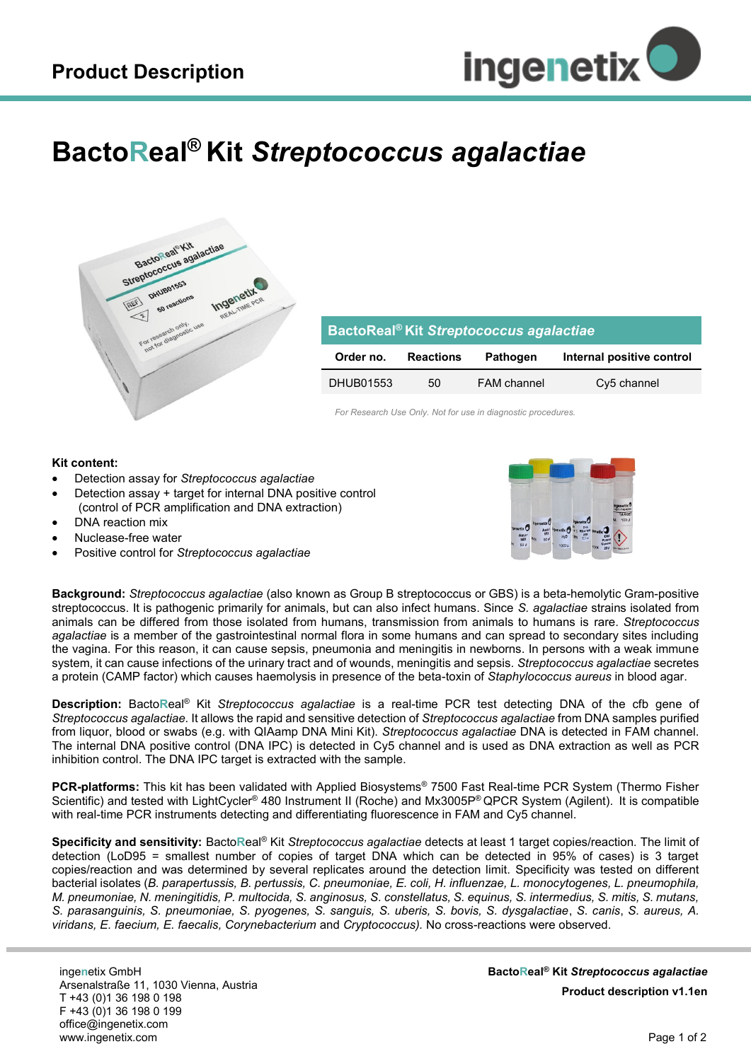

## **BactoReal® Kit** *Streptococcus agalactiae*



| BactoReal <sup>®</sup> Kit Streptococcus agalactiae |                  |                    |                           |
|-----------------------------------------------------|------------------|--------------------|---------------------------|
| Order no.                                           | <b>Reactions</b> | <b>Pathogen</b>    | Internal positive control |
| DHUB01553                                           | 50               | <b>FAM</b> channel | Cy5 channel               |

*For Research Use Only. Not for use in diagnostic procedures.*

## **Kit content:**

- Detection assay for *Streptococcus agalactiae*
- Detection assay + target for internal DNA positive control (control of PCR amplification and DNA extraction)
- DNA reaction mix
- Nuclease-free water
- Positive control for *Streptococcus agalactiae*



**Background:** *Streptococcus agalactiae* (also known as Group B streptococcus or GBS) is a beta-hemolytic Gram-positive streptococcus. It is pathogenic primarily for animals, but can also infect humans. Since *S. agalactiae* strains isolated from animals can be differed from those isolated from humans, transmission from animals to humans is rare. *Streptococcus agalactiae* is a member of the gastrointestinal normal flora in some humans and can spread to secondary sites including the vagina. For this reason, it can cause sepsis, pneumonia and meningitis in newborns. In persons with a weak immune system, it can cause infections of the urinary tract and of wounds, meningitis and sepsis. *Streptococcus agalactiae* secretes a protein (CAMP factor) which causes haemolysis in presence of the beta-toxin of *Staphylococcus aureus* in blood agar.

**Description:** Bacto**R**eal® Kit *Streptococcus agalactiae* is a real-time PCR test detecting DNA of the cfb gene of *Streptococcus agalactiae.* It allows the rapid and sensitive detection of *Streptococcus agalactiae* from DNA samples purified from liquor, blood or swabs (e.g. with QIAamp DNA Mini Kit). *Streptococcus agalactiae* DNA is detected in FAM channel. The internal DNA positive control (DNA IPC) is detected in Cy5 channel and is used as DNA extraction as well as PCR inhibition control. The DNA IPC target is extracted with the sample.

**PCR-platforms:** This kit has been validated with Applied Biosystems® 7500 Fast Real-time PCR System (Thermo Fisher Scientific) and tested with LightCycler® 480 Instrument II (Roche) and Mx3005P® QPCR System (Agilent). It is compatible with real-time PCR instruments detecting and differentiating fluorescence in FAM and Cy5 channel.

**Specificity and sensitivity:** Bacto**R**eal® Kit *Streptococcus agalactiae* detects at least 1 target copies/reaction*.* The limit of detection (LoD95 = smallest number of copies of target DNA which can be detected in 95% of cases) is 3 target copies/reaction and was determined by several replicates around the detection limit. Specificity was tested on different bacterial isolates (*B. parapertussis, B. pertussis, C. pneumoniae, E. coli, H. influenzae, L. monocytogenes, L. pneumophila, M. pneumoniae, N. meningitidis, P. multocida, S. anginosus, S. constellatus, S. equinus, S. intermedius, S. mitis, S. mutans, S. parasanguinis, S. pneumoniae, S. pyogenes, S. sanguis, S. uberis, S. bovis, S. dysgalactiae*, *S. canis*, *S. aureus, A. viridans, E. faecium, E. faecalis, Corynebacterium* and *Cryptococcus).* No cross-reactions were observed.

inge**n**etix GmbH Arsenalstraße 11, 1030 Vienna, Austria T +43 (0)1 36 198 0 198 F +43 (0)1 36 198 0 199 office@ingenetix.com www.ingenetix.com

**BactoReal® Kit** *Streptococcus agalactiae* **Product description v1.1en**